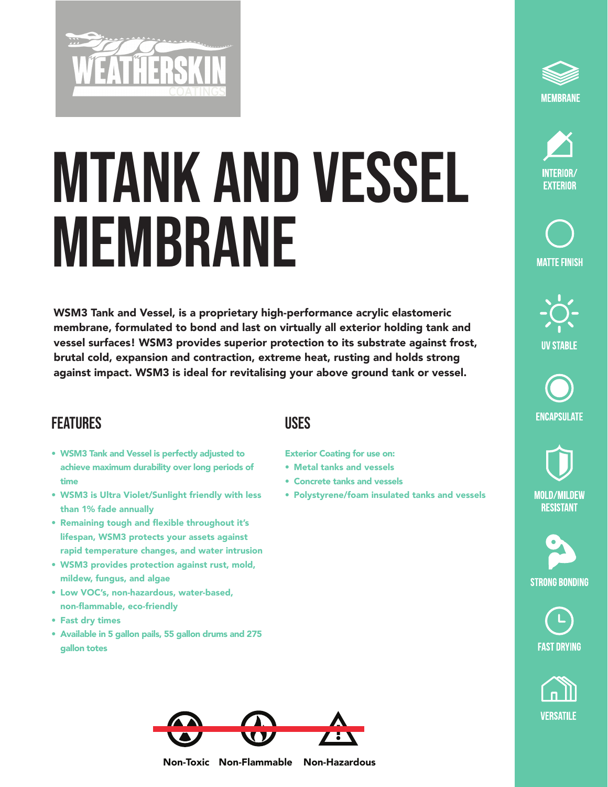

## MTANK AND VESSEL MEMBRANE

WSM3 Tank and Vessel, is a proprietary high-performance acrylic elastomeric membrane, formulated to bond and last on virtually all exterior holding tank and vessel surfaces! WSM3 provides superior protection to its substrate against frost, brutal cold, expansion and contraction, extreme heat, rusting and holds strong against impact. WSM3 is ideal for revitalising your above ground tank or vessel.

## **FEATURES**

- WSM3 Tank and Vessel is perfectly adjusted to achieve maximum durability over long periods of time
- WSM3 is Ultra Violet/Sunlight friendly with less than 1% fade annually
- Remaining tough and flexible throughout it's lifespan, WSM3 protects your assets against rapid temperature changes, and water intrusion
- WSM3 provides protection against rust, mold, mildew, fungus, and algae
- Low VOC's, non-hazardous, water-based, non-flammable, eco-friendly
- Fast dry times
- Available in 5 gallon pails, 55 gallon drums and 275 gallon totes

## **USES**

Exterior Coating for use on:

- Metal tanks and vessels
- Concrete tanks and vessels
- Polystyrene/foam insulated tanks and vessels





**MATTE FINISH** 



**ENCAPSULATE** 

**MOLD/MILDEW RESISTANT** 









Non-Toxic Non-Flammable Non-Hazardous